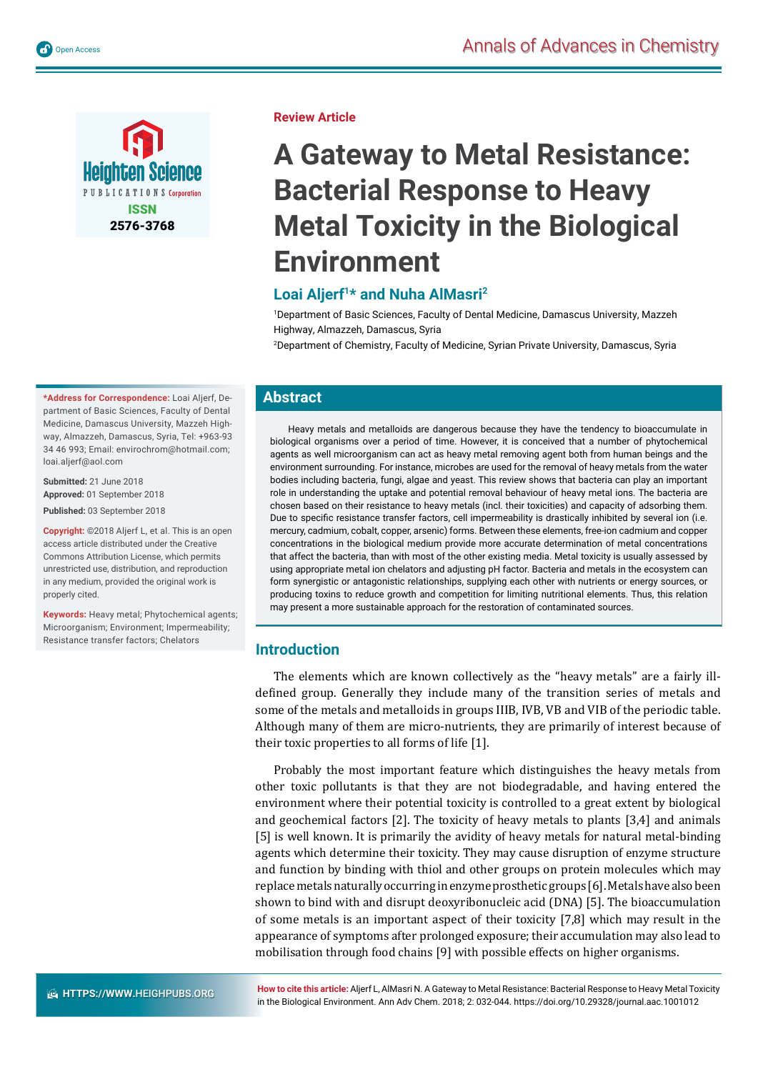

**Review Article**

# **A Gateway to Metal Resistance: Bacterial Response to Heavy Metal Toxicity in the Biological Environment**

# **Loai Aljerf1\* and Nuha AlMasri2**

1 Department of Basic Sciences, Faculty of Dental Medicine, Damascus University, Mazzeh Highway, Almazzeh, Damascus, Syria

2 Department of Chemistry, Faculty of Medicine, Syrian Private University, Damascus, Syria

# **Abstract**

Heavy metals and metalloids are dangerous because they have the tendency to bioaccumulate in biological organisms over a period of time. However, it is conceived that a number of phytochemical agents as well microorganism can act as heavy metal removing agent both from human beings and the environment surrounding. For instance, microbes are used for the removal of heavy metals from the water bodies including bacteria, fungi, algae and yeast. This review shows that bacteria can play an important role in understanding the uptake and potential removal behaviour of heavy metal ions. The bacteria are chosen based on their resistance to heavy metals (incl. their toxicities) and capacity of adsorbing them. Due to specific resistance transfer factors, cell impermeability is drastically inhibited by several ion (i.e. mercury, cadmium, cobalt, copper, arsenic) forms. Between these elements, free-ion cadmium and copper concentrations in the biological medium provide more accurate determination of metal concentrations that affect the bacteria, than with most of the other existing media. Metal toxicity is usually assessed by using appropriate metal ion chelators and adjusting pH factor. Bacteria and metals in the ecosystem can form synergistic or antagonistic relationships, supplying each other with nutrients or energy sources, or producing toxins to reduce growth and competition for limiting nutritional elements. Thus, this relation may present a more sustainable approach for the restoration of contaminated sources.

## **Introduction**

The elements which are known collectively as the "heavy metals" are a fairly illdefined group. Generally they include many of the transition series of metals and some of the metals and metalloids in groups IIIB, IVB, VB and VIB of the periodic table. Although many of them are micro-nutrients, they are primarily of interest because of their toxic properties to all forms of life [1].

Probably the most important feature which distinguishes the heavy metals from other toxic pollutants is that they are not biodegradable, and having entered the environment where their potential toxicity is controlled to a great extent by biological and geochemical factors [2]. The toxicity of heavy metals to plants [3,4] and animals [5] is well known. It is primarily the avidity of heavy metals for natural metal-binding agents which determine their toxicity. They may cause disruption of enzyme structure and function by binding with thiol and other groups on protein molecules which may replace metals naturally occurring in enzyme prosthetic groups [6]. Metals have also been shown to bind with and disrupt deoxyribonucleic acid (DNA) [5]. The bioaccumulation of some metals is an important aspect of their toxicity [7,8] which may result in the appearance of symptoms after prolonged exposure; their accumulation may also lead to mobilisation through food chains [9] with possible effects on higher organisms.

**\*Address for Correspondence:** Loai Aljerf, Department of Basic Sciences, Faculty of Dental Medicine, Damascus University, Mazzeh Highway, Almazzeh, Damascus, Syria, Tel: +963-93 34 46 993; Email: envirochrom@hotmail.com; loai.aljerf@aol.com

**Submitted:** 21 June 2018 **Approved:** 01 September 2018 **Published:** 03 September 2018

**Copyright:** ©2018 Aljerf L, et al. This is an open access article distributed under the Creative Commons Attribution License, which permits unrestricted use, distribution, and reproduction in any medium, provided the original work is properly cited.

**Keywords:** Heavy metal; Phytochemical agents; Microorganism; Environment; Impermeability; Resistance transfer factors; Chelators

**How to cite this article:** Aljerf L, AlMasri N. A Gateway to Metal Resistance: Bacterial Response to Heavy Metal Toxicity in the Biological Environment. Ann Adv Chem. 2018; 2: 032-044. https://doi.org/10.29328/journal.aac.1001012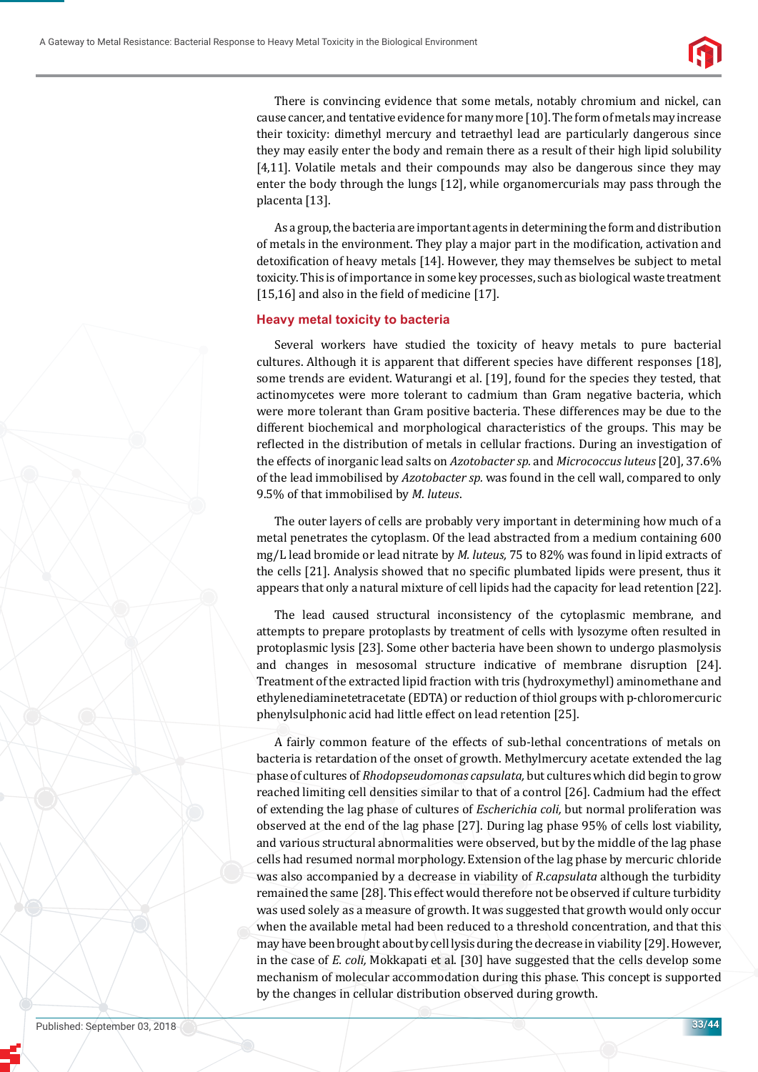

There is convincing evidence that some metals, notably chromium and nickel, can cause cancer, and tentative evidence for many more [10]. The form of metals may increase their toxicity: dimethyl mercury and tetraethyl lead are particularly dangerous since they may easily enter the body and remain there as a result of their high lipid solubility [4,11]. Volatile metals and their compounds may also be dangerous since they may enter the body through the lungs [12], while organomercurials may pass through the placenta [13].

As a group, the bacteria are important agents in determining the form and distribution of metals in the environment. They play a major part in the modification, activation and detoxification of heavy metals [14]. However, they may themselves be subject to metal toxicity. This is of importance in some key processes, such as biological waste treatment  $[15,16]$  and also in the field of medicine  $[17]$ .

### **Heavy metal toxicity to bacteria**

Several workers have studied the toxicity of heavy metals to pure bacterial cultures. Although it is apparent that different species have different responses [18], some trends are evident. Waturangi et al. [19], found for the species they tested, that actinomycetes were more tolerant to cadmium than Gram negative bacteria, which were more tolerant than Gram positive bacteria. These differences may be due to the different biochemical and morphological characteristics of the groups. This may be reflected in the distribution of metals in cellular fractions. During an investigation of the effects of inorganic lead salts on *Azotobacter sp.* and *Micrococcus luteus* [20], 37.6% of the lead immobilised by *Azotobacter sp.* was found in the cell wall, compared to only 9.5% of that immobilised by *M. luteus*.

The outer layers of cells are probably very important in determining how much of a metal penetrates the cytoplasm. Of the lead abstracted from a medium containing 600 mg/L lead bromide or lead nitrate by *M. luteus,* 75 to 82% was found in lipid extracts of the cells [21]. Analysis showed that no specific plumbated lipids were present, thus it appears that only a natural mixture of cell lipids had the capacity for lead retention [22].

The lead caused structural inconsistency of the cytoplasmic membrane, and attempts to prepare protoplasts by treatment of cells with lysozyme often resulted in protoplasmic lysis [23]. Some other bacteria have been shown to undergo plasmolysis and changes in mesosomal structure indicative of membrane disruption [24]. Treatment of the extracted lipid fraction with tris (hydroxymethyl) aminomethane and ethylenediaminetetracetate (EDTA) or reduction of thiol groups with p-chloromercuric phenylsulphonic acid had little effect on lead retention [25].

A fairly common feature of the effects of sub-lethal concentrations of metals on bacteria is retardation of the onset of growth. Methylmercury acetate extended the lag phase of cultures of *Rhodopseudomonas capsulata,* but cultures which did begin to grow reached limiting cell densities similar to that of a control [26]. Cadmium had the effect of extending the lag phase of cultures of *Escherichia coli,* but normal proliferation was observed at the end of the lag phase [27]. During lag phase 95% of cells lost viability, and various structural abnormalities were observed, but by the middle of the lag phase cells had resumed normal morphology. Extension of the lag phase by mercuric chloride was also accompanied by a decrease in viability of *R*.*capsulata* although the turbidity remained the same [28]. This effect would therefore not be observed if culture turbidity was used solely as a measure of growth. It was suggested that growth would only occur when the available metal had been reduced to a threshold concentration, and that this may have been brought about by cell lysis during the decrease in viability [29]. However, in the case of *E. coli,* Mokkapati et al. [30] have suggested that the cells develop some mechanism of molecular accommodation during this phase. This concept is supported by the changes in cellular distribution observed during growth.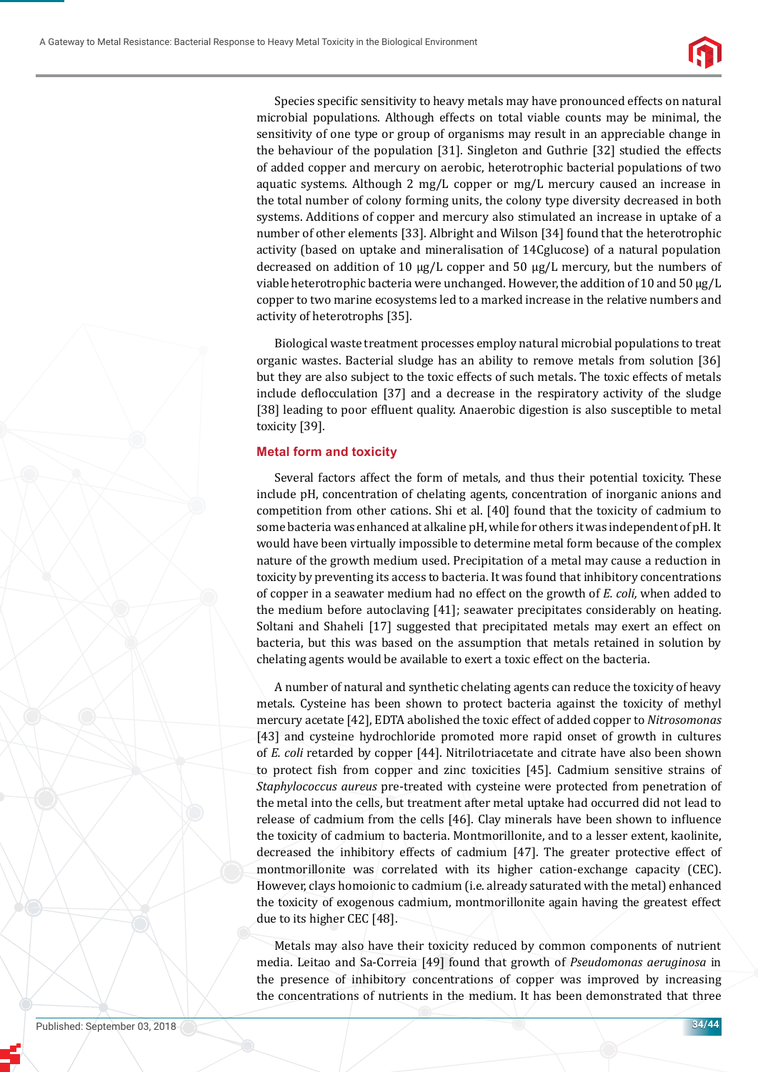

Species specific sensitivity to heavy metals may have pronounced effects on natural microbial populations. Although effects on total viable counts may be minimal, the sensitivity of one type or group of organisms may result in an appreciable change in the behaviour of the population [31]. Singleton and Guthrie [32] studied the effects of added copper and mercury on aerobic, heterotrophic bacterial populations of two aquatic systems. Although 2 mg/L copper or mg/L mercury caused an increase in the total number of colony forming units, the colony type diversity decreased in both systems. Additions of copper and mercury also stimulated an increase in uptake of a number of other elements [33]. Albright and Wilson [34] found that the heterotrophic activity (based on uptake and mineralisation of 14Cglucose) of a natural population decreased on addition of 10 μg/L copper and 50 μg/L mercury, but the numbers of viable heterotrophic bacteria were unchanged. However, the addition of 10 and 50 μg/L copper to two marine ecosystems led to a marked increase in the relative numbers and activity of heterotrophs [35].

Biological waste treatment processes employ natural microbial populations to treat organic wastes. Bacterial sludge has an ability to remove metals from solution [36] but they are also subject to the toxic effects of such metals. The toxic effects of metals include deflocculation [37] and a decrease in the respiratory activity of the sludge [38] leading to poor effluent quality. Anaerobic digestion is also susceptible to metal toxicity [39].

## **Metal form and toxicity**

Several factors affect the form of metals, and thus their potential toxicity. These include pH, concentration of chelating agents, concentration of inorganic anions and competition from other cations. Shi et al. [40] found that the toxicity of cadmium to some bacteria was enhanced at alkaline pH, while for others it was independent of pH. It would have been virtually impossible to determine metal form because of the complex nature of the growth medium used. Precipitation of a metal may cause a reduction in toxicity by preventing its access to bacteria. It was found that inhibitory concentrations of copper in a seawater medium had no effect on the growth of *E. coli,* when added to the medium before autoclaving [41]; seawater precipitates considerably on heating. Soltani and Shaheli [17] suggested that precipitated metals may exert an effect on bacteria, but this was based on the assumption that metals retained in solution by chelating agents would be available to exert a toxic effect on the bacteria.

A number of natural and synthetic chelating agents can reduce the toxicity of heavy metals. Cysteine has been shown to protect bacteria against the toxicity of methyl mercury acetate [42], EDTA abolished the toxic effect of added copper to *Nitrosomonas*  [43] and cysteine hydrochloride promoted more rapid onset of growth in cultures of *E. coli* retarded by copper [44]. Nitrilotriacetate and citrate have also been shown to protect fish from copper and zinc toxicities [45]. Cadmium sensitive strains of *Staphylococcus aureus* pre-treated with cysteine were protected from penetration of the metal into the cells, but treatment after metal uptake had occurred did not lead to release of cadmium from the cells [46]. Clay minerals have been shown to influence the toxicity of cadmium to bacteria. Montmorillonite, and to a lesser extent, kaolinite, decreased the inhibitory effects of cadmium [47]. The greater protective effect of montmorillonite was correlated with its higher cation-exchange capacity (CEC). However, clays homoionic to cadmium (i.e. already saturated with the metal) enhanced the toxicity of exogenous cadmium, montmorillonite again having the greatest effect due to its higher CEC [48].

Metals may also have their toxicity reduced by common components of nutrient media. Leitao and Sa-Correia [49] found that growth of *Pseudomonas aeruginosa* in the presence of inhibitory concentrations of copper was improved by increasing the concentrations of nutrients in the medium. It has been demonstrated that three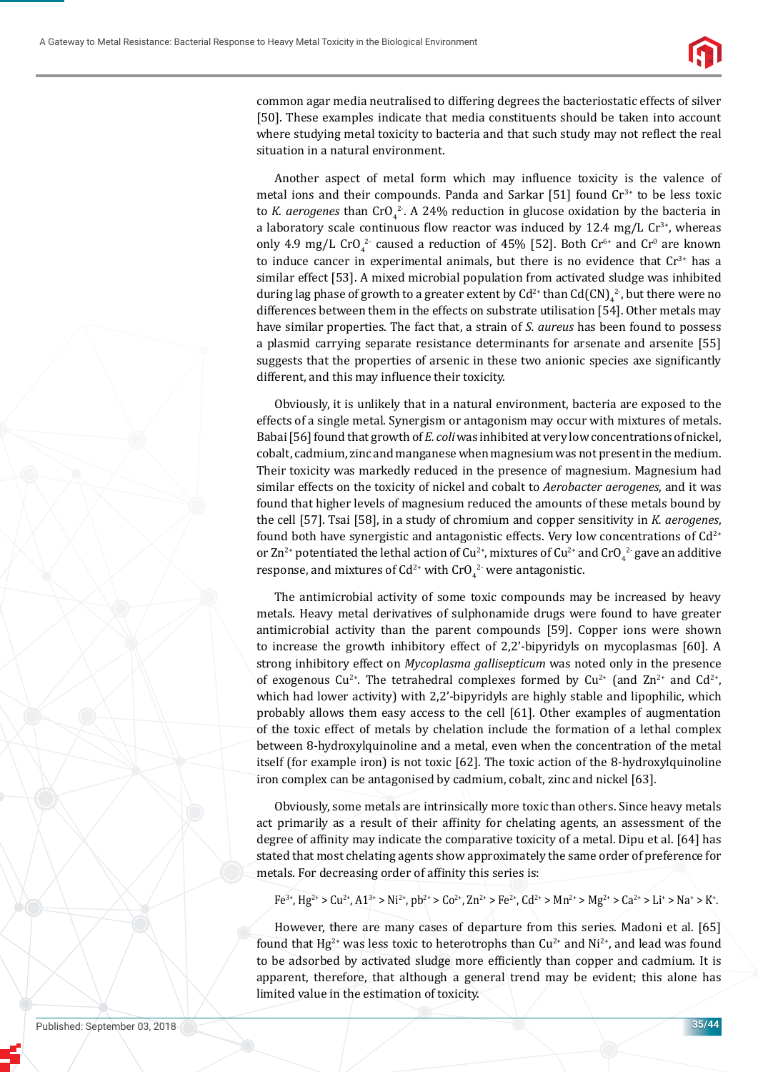

common agar media neutralised to differing degrees the bacteriostatic effects of silver [50]. These examples indicate that media constituents should be taken into account where studying metal toxicity to bacteria and that such study may not reflect the real situation in a natural environment.

Another aspect of metal form which may influence toxicity is the valence of metal ions and their compounds. Panda and Sarkar [51] found  $Cr<sup>3+</sup>$  to be less toxic to *K. aerogenes* than  $Cro_4^2$ . A 24% reduction in glucose oxidation by the bacteria in a laboratory scale continuous flow reactor was induced by 12.4 mg/L  $Cr^{3+}$ , whereas only 4.9 mg/L CrO<sub>4</sub><sup>2</sup> caused a reduction of 45% [52]. Both Cr<sup>6+</sup> and Cr<sup>0</sup> are known to induce cancer in experimental animals, but there is no evidence that  $Cr^{3+}$  has a similar effect [53]. A mixed microbial population from activated sludge was inhibited during lag phase of growth to a greater extent by  $\text{Cd}^{2+}$  than  $\text{Cd(CN)}_{4}$ <sup>2</sup>, but there were no differences between them in the effects on substrate utilisation [54]. Other metals may have similar properties. The fact that, a strain of *S. aureus* has been found to possess a plasmid carrying separate resistance determinants for arsenate and arsenite [55] suggests that the properties of arsenic in these two anionic species axe significantly different, and this may influence their toxicity.

Obviously, it is unlikely that in a natural environment, bacteria are exposed to the effects of a single metal. Synergism or antagonism may occur with mixtures of metals. Babai [56] found that growth of *E. coli* was inhibited at very low concentrations of nickel, cobalt, cadmium, zinc and manganese when magnesium was not present in the medium. Their toxicity was markedly reduced in the presence of magnesium. Magnesium had similar effects on the toxicity of nickel and cobalt to *Aerobacter aerogenes*, and it was found that higher levels of magnesium reduced the amounts of these metals bound by the cell [57]. Tsai [58], in a study of chromium and copper sensitivity in *K. aerogenes*, found both have synergistic and antagonistic effects. Very low concentrations of  $Cd^{2+}$ or Zn<sup>2+</sup> potentiated the lethal action of Cu<sup>2+</sup>, mixtures of Cu<sup>2+</sup> and CrO<sub>4</sub><sup>2-</sup> gave an additive response, and mixtures of Cd<sup>2+</sup> with CrO<sub>4</sub><sup>2-</sup> were antagonistic.

The antimicrobial activity of some toxic compounds may be increased by heavy metals. Heavy metal derivatives of sulphonamide drugs were found to have greater antimicrobial activity than the parent compounds [59]. Copper ions were shown to increase the growth inhibitory effect of 2,2'-bipyridyls on mycoplasmas [60]. A strong inhibitory effect on *Mycoplasma gallisepticum* was noted only in the presence of exogenous Cu<sup>2+</sup>. The tetrahedral complexes formed by Cu<sup>2+</sup> (and Zn<sup>2+</sup> and Cd<sup>2+</sup>, which had lower activity) with 2,2'-bipyridyls are highly stable and lipophilic, which probably allows them easy access to the cell [61]. Other examples of augmentation of the toxic effect of metals by chelation include the formation of a lethal complex between 8-hydroxylquinoline and a metal, even when the concentration of the metal itself (for example iron) is not toxic [62]. The toxic action of the 8-hydroxylquinoline iron complex can be antagonised by cadmium, cobalt, zinc and nickel [63].

Obviously, some metals are intrinsically more toxic than others. Since heavy metals act primarily as a result of their affinity for chelating agents, an assessment of the degree of affinity may indicate the comparative toxicity of a metal. Dipu et al. [64] has stated that most chelating agents show approximately the same order of preference for metals. For decreasing order of affinity this series is:

 $Fe^{3+}$ ,  $Hg^{2+} > Cu^{2+}$ ,  $A1^{3+} > Ni^{2+}$ ,  $ph^{2+} > Co^{2+}$ ,  $Zn^{2+} > Fe^{2+}$ ,  $Cd^{2+} > Mn^{2+} > Mg^{2+} > Ca^{2+} > Li^{+} > Na^{+} > K^{+}$ .

However, there are many cases of departure from this series. Madoni et al. [65] found that Hg<sup>2+</sup> was less toxic to heterotrophs than  $Cu^{2+}$  and Ni<sup>2+</sup>, and lead was found to be adsorbed by activated sludge more efficiently than copper and cadmium. It is apparent, therefore, that although a general trend may be evident; this alone has limited value in the estimation of toxicity.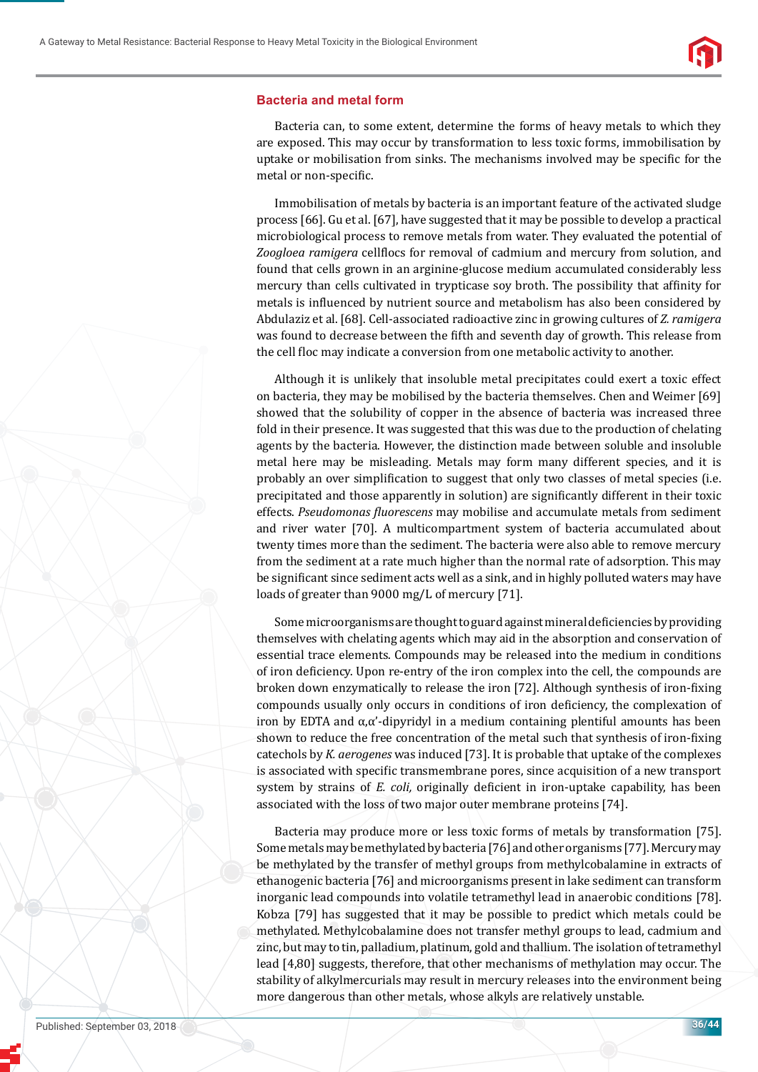

#### **Bacteria and metal form**

Bacteria can, to some extent, determine the forms of heavy metals to which they are exposed. This may occur by transformation to less toxic forms, immobilisation by uptake or mobilisation from sinks. The mechanisms involved may be specific for the metal or non-specific.

Immobilisation of metals by bacteria is an important feature of the activated sludge process [66]. Gu et al. [67], have suggested that it may be possible to develop a practical microbiological process to remove metals from water. They evaluated the potential of *Zoogloea ramigera cellflocs for removal of cadmium and mercury from solution, and* found that cells grown in an arginine-glucose medium accumulated considerably less mercury than cells cultivated in trypticase soy broth. The possibility that affinity for metals is influenced by nutrient source and metabolism has also been considered by Abdulaziz et al. [68]. Cell-associated radioactive zinc in growing cultures of *Z. ramigera*  was found to decrease between the fifth and seventh day of growth. This release from the cell floc may indicate a conversion from one metabolic activity to another.

Although it is unlikely that insoluble metal precipitates could exert a toxic effect on bacteria, they may be mobilised by the bacteria themselves. Chen and Weimer [69] showed that the solubility of copper in the absence of bacteria was increased three fold in their presence. It was suggested that this was due to the production of chelating agents by the bacteria. However, the distinction made between soluble and insoluble metal here may be misleading. Metals may form many different species, and it is probably an over simplification to suggest that only two classes of metal species (i.e. precipitated and those apparently in solution) are significantly different in their toxic effects. *Pseudomonas ϔluorescens* may mobilise and accumulate metals from sediment and river water [70]. A multicompartment system of bacteria accumulated about twenty times more than the sediment. The bacteria were also able to remove mercury from the sediment at a rate much higher than the normal rate of adsorption. This may be significant since sediment acts well as a sink, and in highly polluted waters may have loads of greater than 9000 mg/L of mercury [71].

Some microorganisms are thought to guard against mineral deficiencies by providing themselves with chelating agents which may aid in the absorption and conservation of essential trace elements. Compounds may be released into the medium in conditions of iron deficiency. Upon re-entry of the iron complex into the cell, the compounds are broken down enzymatically to release the iron [72]. Although synthesis of iron-fixing compounds usually only occurs in conditions of iron deficiency, the complexation of iron by EDTA and  $\alpha$ , $\alpha'$ -dipyridyl in a medium containing plentiful amounts has been shown to reduce the free concentration of the metal such that synthesis of iron-fixing catechols by *K. aerogenes* was induced [73]. It is probable that uptake of the complexes is associated with specific transmembrane pores, since acquisition of a new transport system by strains of *E. coli*, originally deficient in iron-uptake capability, has been associated with the loss of two major outer membrane proteins [74].

Bacteria may produce more or less toxic forms of metals by transformation [75]. Some metals may be methylated by bacteria [76] and other organisms [77]. Mercury may be methylated by the transfer of methyl groups from methylcobalamine in extracts of ethanogenic bacteria [76] and microorganisms present in lake sediment can transform inorganic lead compounds into volatile tetramethyl lead in anaerobic conditions [78]. Kobza [79] has suggested that it may be possible to predict which metals could be methylated. Methylcobalamine does not transfer methyl groups to lead, cadmium and zinc, but may to tin, palladium, platinum, gold and thallium. The isolation of tetramethyl lead [4,80] suggests, therefore, that other mechanisms of methylation may occur. The stability of alkylmercurials may result in mercury releases into the environment being more dangerous than other metals, whose alkyls are relatively unstable.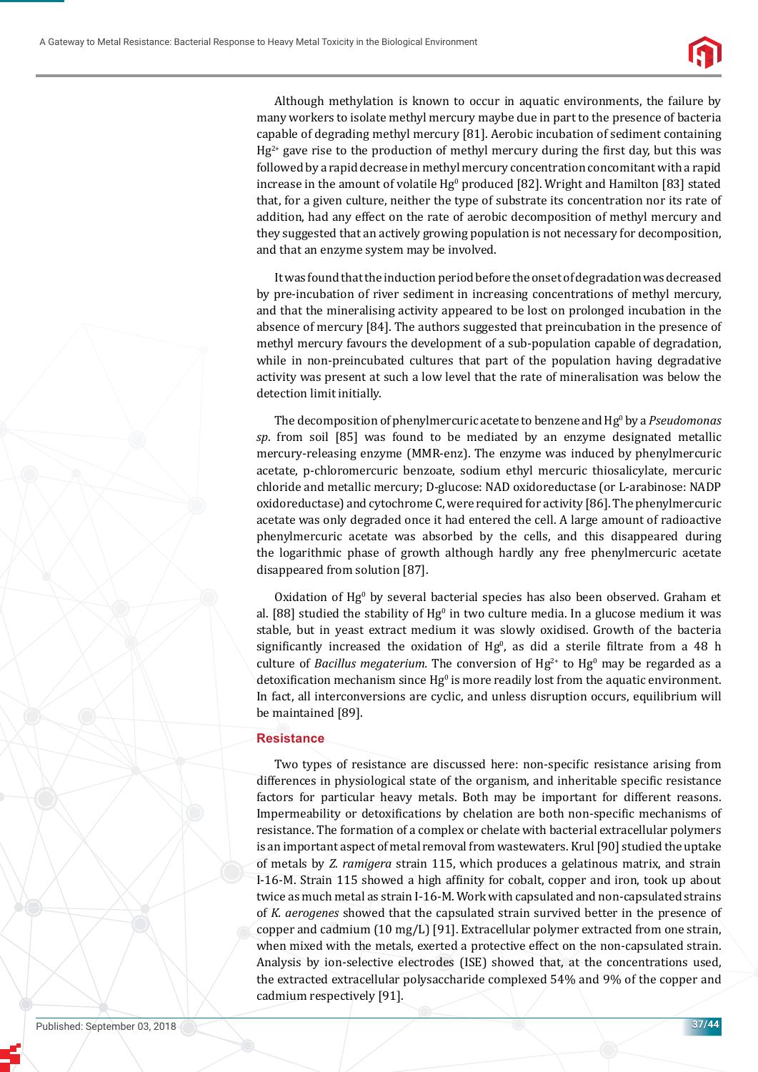

Although methylation is known to occur in aquatic environments, the failure by many workers to isolate methyl mercury maybe due in part to the presence of bacteria capable of degrading methyl mercury [81]. Aerobic incubation of sediment containing  $Hg^{2+}$  gave rise to the production of methyl mercury during the first day, but this was followed by a rapid decrease in methyl mercury concentration concomitant with a rapid increase in the amount of volatile  $Hg^0$  produced [82]. Wright and Hamilton [83] stated that, for a given culture, neither the type of substrate its concentration nor its rate of addition, had any effect on the rate of aerobic decomposition of methyl mercury and they suggested that an actively growing population is not necessary for decomposition, and that an enzyme system may be involved.

It was found that the induction period before the onset of degradation was decreased by pre-incubation of river sediment in increasing concentrations of methyl mercury, and that the mineralising activity appeared to be lost on prolonged incubation in the absence of mercury [84]. The authors suggested that preincubation in the presence of methyl mercury favours the development of a sub-population capable of degradation, while in non-preincubated cultures that part of the population having degradative activity was present at such a low level that the rate of mineralisation was below the detection limit initially.

The decomposition of phenylmercuric acetate to benzene and Hg<sup>0</sup> by a *Pseudomonas sp*. from soil [85] was found to be mediated by an enzyme designated metallic mercury-releasing enzyme (MMR-enz). The enzyme was induced by phenylmercuric acetate, p-chloromercuric benzoate, sodium ethyl mercuric thiosalicylate, mercuric chloride and metallic mercury; D-glucose: NAD oxidoreductase (or L-arabinose: NADP oxidoreductase) and cytochrome C, were required for activity [86]. The phenylmercuric acetate was only degraded once it had entered the cell. A large amount of radioactive phenylmercuric acetate was absorbed by the cells, and this disappeared during the logarithmic phase of growth although hardly any free phenylmercuric acetate disappeared from solution [87].

Oxidation of Hg<sup>0</sup> by several bacterial species has also been observed. Graham et al. [88] studied the stability of  $Hg^0$  in two culture media. In a glucose medium it was stable, but in yeast extract medium it was slowly oxidised. Growth of the bacteria significantly increased the oxidation of  $Hg^0$ , as did a sterile filtrate from a 48 h culture of *Bacillus megaterium*. The conversion of  $Hg^{2+}$  to  $Hg^{0}$  may be regarded as a detoxification mechanism since  $Hg^0$  is more readily lost from the aquatic environment. In fact, all interconversions are cyclic, and unless disruption occurs, equilibrium will be maintained [89].

#### **Resistance**

Two types of resistance are discussed here: non-specific resistance arising from differences in physiological state of the organism, and inheritable specific resistance factors for particular heavy metals. Both may be important for different reasons. Impermeability or detoxifications by chelation are both non-specific mechanisms of resistance. The formation of a complex or chelate with bacterial extracellular polymers is an important aspect of metal removal from wastewaters. Krul [90] studied the uptake of metals by *Z. ramigera* strain 115, which produces a gelatinous matrix, and strain I-16-M. Strain 115 showed a high affinity for cobalt, copper and iron, took up about twice as much metal as strain I-16-M. Work with capsulated and non-capsulated strains of *K. aerogenes* showed that the capsulated strain survived better in the presence of copper and cadmium (10 mg/L) [91]. Extracellular polymer extracted from one strain, when mixed with the metals, exerted a protective effect on the non-capsulated strain. Analysis by ion-selective electrodes (ISE) showed that, at the concentrations used, the extracted extracellular polysaccharide complexed 54% and 9% of the copper and cadmium respectively [91].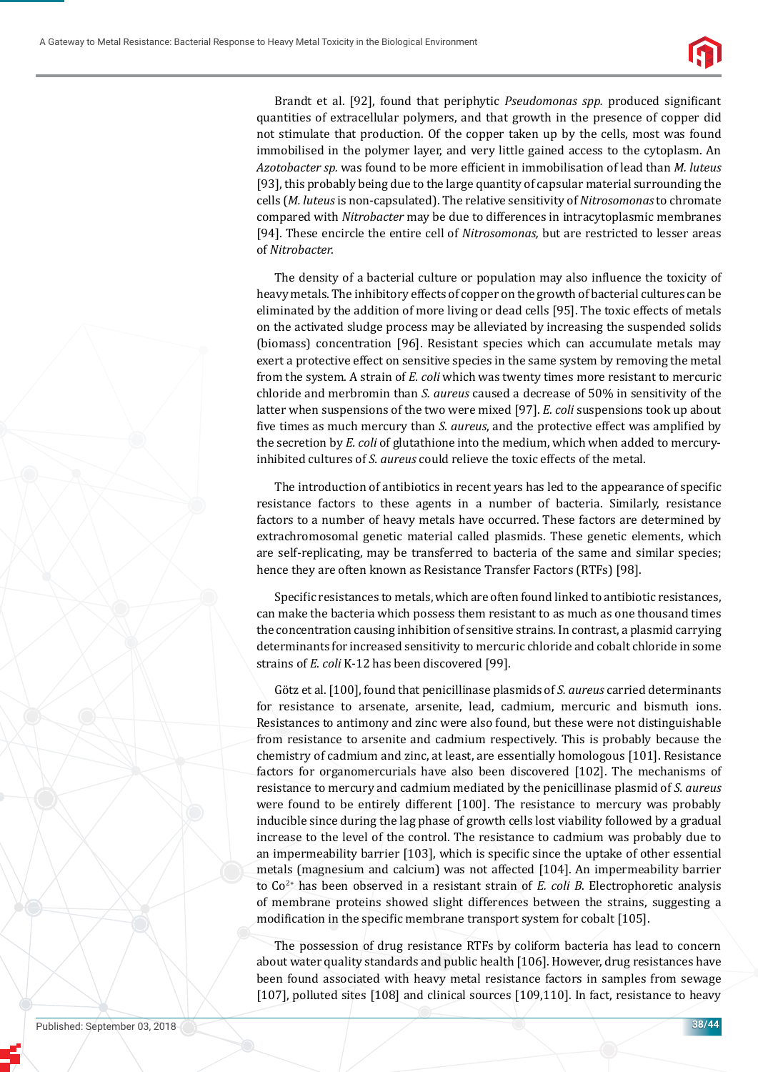

Brandt et al. [92], found that periphytic *Pseudomonas spp.* produced significant quantities of extracellular polymers, and that growth in the presence of copper did not stimulate that production. Of the copper taken up by the cells, most was found immobilised in the polymer layer, and very little gained access to the cytoplasm. An *Azotobacter sp.* was found to be more efficient in immobilisation of lead than *M. luteus* [93], this probably being due to the large quantity of capsular material surrounding the cells (*M. luteus* is non-capsulated). The relative sensitivity of *Nitrosomonas* to chromate compared with *Nitrobacter* may be due to differences in intracytoplasmic membranes [94]. These encircle the entire cell of *Nitrosomonas,* but are restricted to lesser areas of *Nitrobacter.*

The density of a bacterial culture or population may also influence the toxicity of heavy metals. The inhibitory effects of copper on the growth of bacterial cultures can be eliminated by the addition of more living or dead cells [95]. The toxic effects of metals on the activated sludge process may be alleviated by increasing the suspended solids (biomass) concentration [96]. Resistant species which can accumulate metals may exert a protective effect on sensitive species in the same system by removing the metal from the system. A strain of *E. coli* which was twenty times more resistant to mercuric chloride and merbromin than *S. aureus* caused a decrease of 50% in sensitivity of the latter when suspensions of the two were mixed [97]. *E. coli* suspensions took up about five times as much mercury than *S. aureus*, and the protective effect was amplified by the secretion by *E. coli* of glutathione into the medium, which when added to mercuryinhibited cultures of *S. aureus* could relieve the toxic effects of the metal.

The introduction of antibiotics in recent years has led to the appearance of specific resistance factors to these agents in a number of bacteria. Similarly, resistance factors to a number of heavy metals have occurred. These factors are determined by extrachromosomal genetic material called plasmids. These genetic elements, which are self-replicating, may be transferred to bacteria of the same and similar species; hence they are often known as Resistance Transfer Factors (RTFs) [98].

Specific resistances to metals, which are often found linked to antibiotic resistances, can make the bacteria which possess them resistant to as much as one thousand times the concentration causing inhibition of sensitive strains. In contrast, a plasmid carrying determinants for increased sensitivity to mercuric chloride and cobalt chloride in some strains of *E. coli* K-12 has been discovered [99].

Götz et al. [100], found that penicillinase plasmids of *S. aureus* carried determinants for resistance to arsenate, arsenite, lead, cadmium, mercuric and bismuth ions. Resistances to antimony and zinc were also found, but these were not distinguishable from resistance to arsenite and cadmium respectively. This is probably because the chemistry of cadmium and zinc, at least, are essentially homologous [101]. Resistance factors for organomercurials have also been discovered [102]. The mechanisms of resistance to mercury and cadmium mediated by the penicillinase plasmid of *S. aureus*  were found to be entirely different [100]. The resistance to mercury was probably inducible since during the lag phase of growth cells lost viability followed by a gradual increase to the level of the control. The resistance to cadmium was probably due to an impermeability barrier  $[103]$ , which is specific since the uptake of other essential metals (magnesium and calcium) was not affected [104]. An impermeability barrier to Co2+ has been observed in a resistant strain of *E. coli B*. Electrophoretic analysis of membrane proteins showed slight differences between the strains, suggesting a modification in the specific membrane transport system for cobalt [105].

The possession of drug resistance RTFs by coliform bacteria has lead to concern about water quality standards and public health [106]. However, drug resistances have been found associated with heavy metal resistance factors in samples from sewage [107], polluted sites [108] and clinical sources [109,110]. In fact, resistance to heavy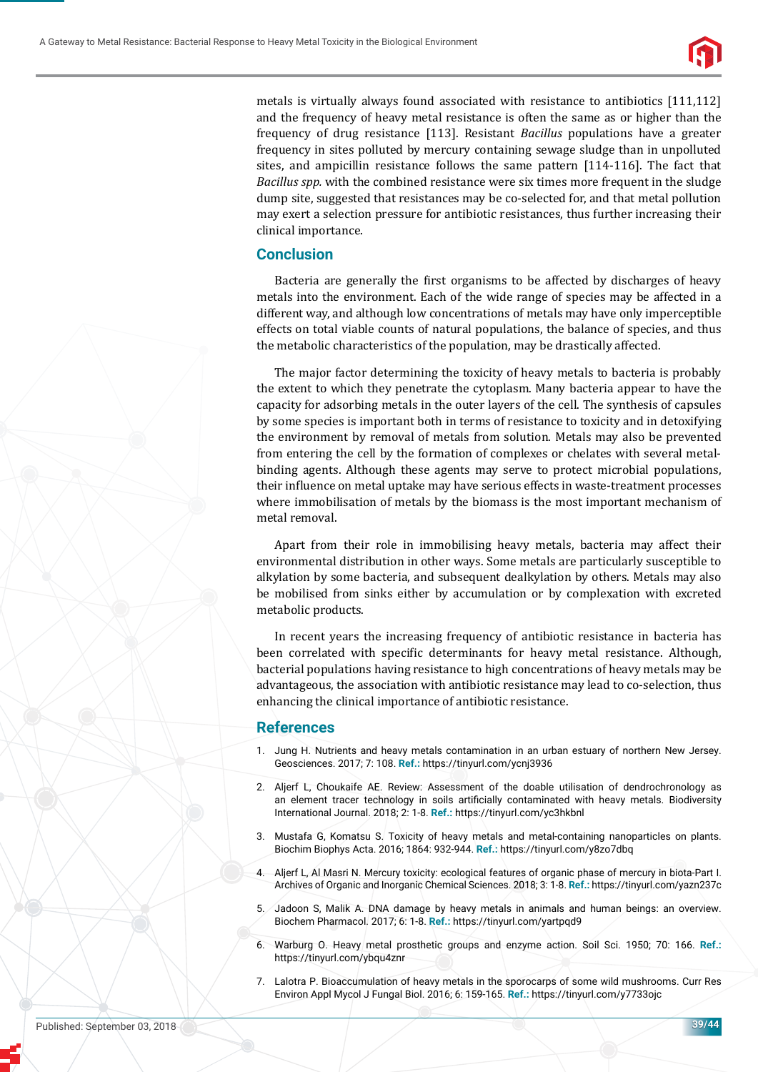

metals is virtually always found associated with resistance to antibiotics [111,112] and the frequency of heavy metal resistance is often the same as or higher than the frequency of drug resistance [113]. Resistant *Bacillus* populations have a greater frequency in sites polluted by mercury containing sewage sludge than in unpolluted sites, and ampicillin resistance follows the same pattern [114-116]. The fact that *Bacillus spp.* with the combined resistance were six times more frequent in the sludge dump site, suggested that resistances may be co-selected for, and that metal pollution may exert a selection pressure for antibiotic resistances, thus further increasing their clinical importance.

## **Conclusion**

Bacteria are generally the first organisms to be affected by discharges of heavy metals into the environment. Each of the wide range of species may be affected in a different way, and although low concentrations of metals may have only imperceptible effects on total viable counts of natural populations, the balance of species, and thus the metabolic characteristics of the population, may be drastically affected.

The major factor determining the toxicity of heavy metals to bacteria is probably the extent to which they penetrate the cytoplasm. Many bacteria appear to have the capacity for adsorbing metals in the outer layers of the cell. The synthesis of capsules by some species is important both in terms of resistance to toxicity and in detoxifying the environment by removal of metals from solution. Metals may also be prevented from entering the cell by the formation of complexes or chelates with several metalbinding agents. Although these agents may serve to protect microbial populations, their influence on metal uptake may have serious effects in waste-treatment processes where immobilisation of metals by the biomass is the most important mechanism of metal removal.

Apart from their role in immobilising heavy metals, bacteria may affect their environmental distribution in other ways. Some metals are particularly susceptible to alkylation by some bacteria, and subsequent dealkylation by others. Metals may also be mobilised from sinks either by accumulation or by complexation with excreted metabolic products.

In recent years the increasing frequency of antibiotic resistance in bacteria has been correlated with specific determinants for heavy metal resistance. Although, bacterial populations having resistance to high concentrations of heavy metals may be advantageous, the association with antibiotic resistance may lead to co-selection, thus enhancing the clinical importance of antibiotic resistance.

## **References**

- 1. Jung H. Nutrients and heavy metals contamination in an urban estuary of northern New Jersey. Geosciences. 2017; 7: 108. **Ref.:** https://tinyurl.com/ycnj3936
- 2. Aljerf L, Choukaife AE. Review: Assessment of the doable utilisation of dendrochronology as an element tracer technology in soils artificially contaminated with heavy metals. Biodiversity International Journal. 2018; 2: 1-8. **Ref.:** https://tinyurl.com/yc3hkbnl
- 3. Mustafa G, Komatsu S. Toxicity of heavy metals and metal-containing nanoparticles on plants. Biochim Biophys Acta. 2016; 1864: 932-944. **Ref.:** https://tinyurl.com/y8zo7dbq
- 4. Aljerf L, Al Masri N. Mercury toxicity: ecological features of organic phase of mercury in biota-Part I. Archives of Organic and Inorganic Chemical Sciences. 2018; 3: 1-8. **Ref.:** https://tinyurl.com/yazn237c
- 5. Jadoon S, Malik A. DNA damage by heavy metals in animals and human beings: an overview. Biochem Pharmacol. 2017; 6: 1-8. **Ref.:** https://tinyurl.com/yartpqd9
- 6. Warburg O. Heavy metal prosthetic groups and enzyme action. Soil Sci. 1950; 70: 166. **Ref.:** https://tinyurl.com/ybqu4znr
- 7. Lalotra P. Bioaccumulation of heavy metals in the sporocarps of some wild mushrooms. Curr Res Environ Appl Mycol J Fungal Biol. 2016; 6: 159-165. **Ref.:** https://tinyurl.com/y7733ojc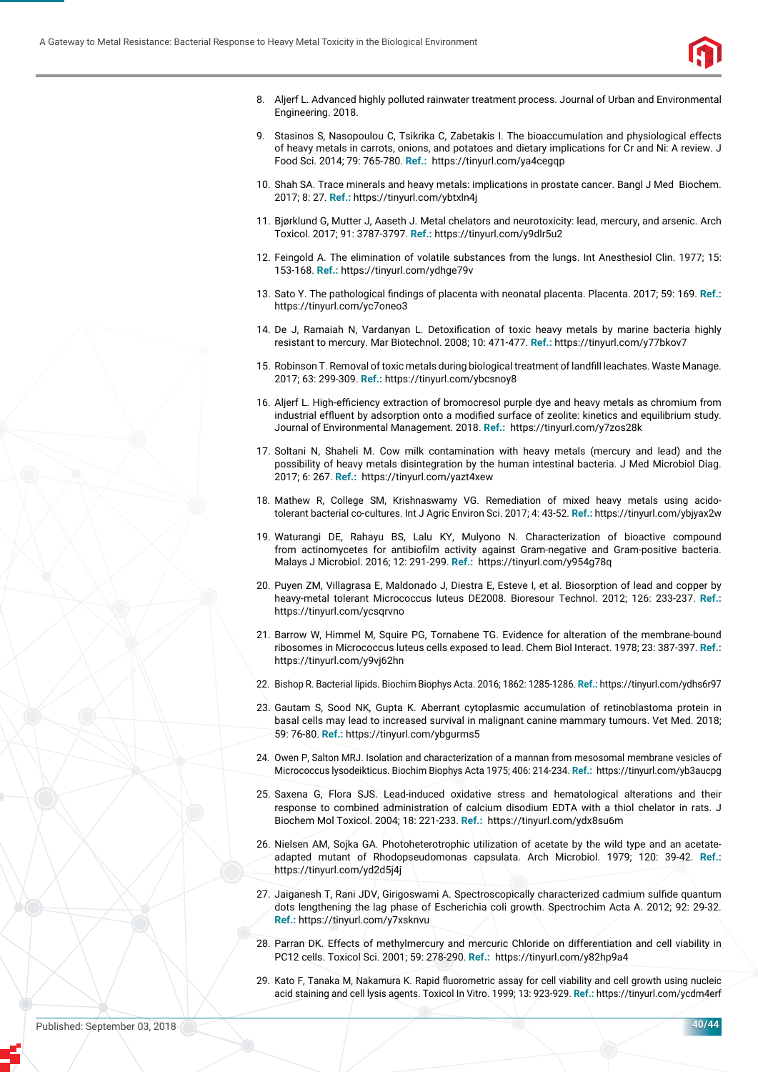

- 8. Aljerf L. Advanced highly polluted rainwater treatment process. Journal of Urban and Environmental Engineering. 2018.
- 9. Stasinos S, Nasopoulou C, Tsikrika C, Zabetakis I. The bioaccumulation and physiological effects of heavy metals in carrots, onions, and potatoes and dietary implications for Cr and Ni: A review. J Food Sci. 2014; 79: 765-780. **Ref.:** https://tinyurl.com/ya4cegqp
- 10. Shah SA. Trace minerals and heavy metals: implications in prostate cancer. Bangl J Med Biochem. 2017; 8: 27. **Ref.:** https://tinyurl.com/ybtxln4j
- 11. Bjørklund G, Mutter J, Aaseth J. Metal chelators and neurotoxicity: lead, mercury, and arsenic. Arch Toxicol. 2017; 91: 3787-3797. **Ref.:** https://tinyurl.com/y9dlr5u2
- 12. Feingold A. The elimination of volatile substances from the lungs. Int Anesthesiol Clin. 1977; 15: 153-168. **Ref.:** https://tinyurl.com/ydhge79v
- 13. Sato Y. The pathological findings of placenta with neonatal placenta. Placenta. 2017; 59: 169. Ref.: https://tinyurl.com/yc7oneo3
- 14. De J. Ramaiah N. Vardanyan L. Detoxification of toxic heavy metals by marine bacteria highly resistant to mercury. Mar Biotechnol. 2008; 10: 471-477. **Ref.:** https://tinyurl.com/y77bkov7
- 15. Robinson T. Removal of toxic metals during biological treatment of landfill leachates. Waste Manage. 2017; 63: 299-309. **Ref.:** https://tinyurl.com/ybcsnoy8
- 16. Aljerf L. High-efficiency extraction of bromocresol purple dye and heavy metals as chromium from industrial effluent by adsorption onto a modified surface of zeolite: kinetics and equilibrium study. Journal of Environmental Management. 2018. **Ref.:** https://tinyurl.com/y7zos28k
- 17. Soltani N, Shaheli M. Cow milk contamination with heavy metals (mercury and lead) and the possibility of heavy metals disintegration by the human intestinal bacteria. J Med Microbiol Diag. 2017; 6: 267. **Ref.:** https://tinyurl.com/yazt4xew
- 18. Mathew R, College SM, Krishnaswamy VG. Remediation of mixed heavy metals using acidotolerant bacterial co-cultures. Int J Agric Environ Sci. 2017; 4: 43-52. **Ref.:** https://tinyurl.com/ybjyax2w
- 19. Waturangi DE, Rahayu BS, Lalu KY, Mulyono N. Characterization of bioactive compound from actinomycetes for antibiofilm activity against Gram-negative and Gram-positive bacteria. Malays J Microbiol. 2016; 12: 291-299. **Ref.:** https://tinyurl.com/y954g78q
- 20. Puyen ZM, Villagrasa E, Maldonado J, Diestra E, Esteve I, et al. Biosorption of lead and copper by heavy-metal tolerant Micrococcus luteus DE2008. Bioresour Technol. 2012; 126: 233-237. **Ref.:** https://tinyurl.com/ycsqrvno
- 21. Barrow W, Himmel M, Squire PG, Tornabene TG. Evidence for alteration of the membrane-bound ribosomes in Micrococcus luteus cells exposed to lead. Chem Biol Interact. 1978; 23: 387-397. **Ref.:** https://tinyurl.com/y9vj62hn
- 22. Bishop R. Bacterial lipids. Biochim Biophys Acta. 2016; 1862: 1285-1286. **Ref.:** https://tinyurl.com/ydhs6r97
- 23. Gautam S, Sood NK, Gupta K. Aberrant cytoplasmic accumulation of retinoblastoma protein in basal cells may lead to increased survival in malignant canine mammary tumours. Vet Med. 2018; 59: 76-80. **Ref.:** https://tinyurl.com/ybgurms5
- 24. Owen P, Salton MRJ. Isolation and characterization of a mannan from mesosomal membrane vesicles of Micrococcus lysodeikticus. Biochim Biophys Acta 1975; 406: 214-234. **Ref.:** https://tinyurl.com/yb3aucpg
- 25. Saxena G, Flora SJS. Lead-induced oxidative stress and hematological alterations and their response to combined administration of calcium disodium EDTA with a thiol chelator in rats. J Biochem Mol Toxicol. 2004; 18: 221-233. **Ref.:** https://tinyurl.com/ydx8su6m
- 26. Nielsen AM, Sojka GA. Photoheterotrophic utilization of acetate by the wild type and an acetateadapted mutant of Rhodopseudomonas capsulata. Arch Microbiol. 1979; 120: 39-42. **Ref.:** https://tinyurl.com/yd2d5j4j
- 27. Jaiganesh T, Rani JDV, Girigoswami A. Spectroscopically characterized cadmium sulfide quantum dots lengthening the lag phase of Escherichia coli growth. Spectrochim Acta A. 2012; 92: 29-32. **Ref.:** https://tinyurl.com/y7xsknvu
- 28. Parran DK. Effects of methylmercury and mercuric Chloride on differentiation and cell viability in PC12 cells. Toxicol Sci. 2001; 59: 278-290. **Ref.:** https://tinyurl.com/y82hp9a4
- 29. Kato F, Tanaka M, Nakamura K. Rapid fluorometric assay for cell viability and cell growth using nucleic acid staining and cell lysis agents. Toxicol In Vitro. 1999; 13: 923-929. **Ref.:** https://tinyurl.com/ycdm4erf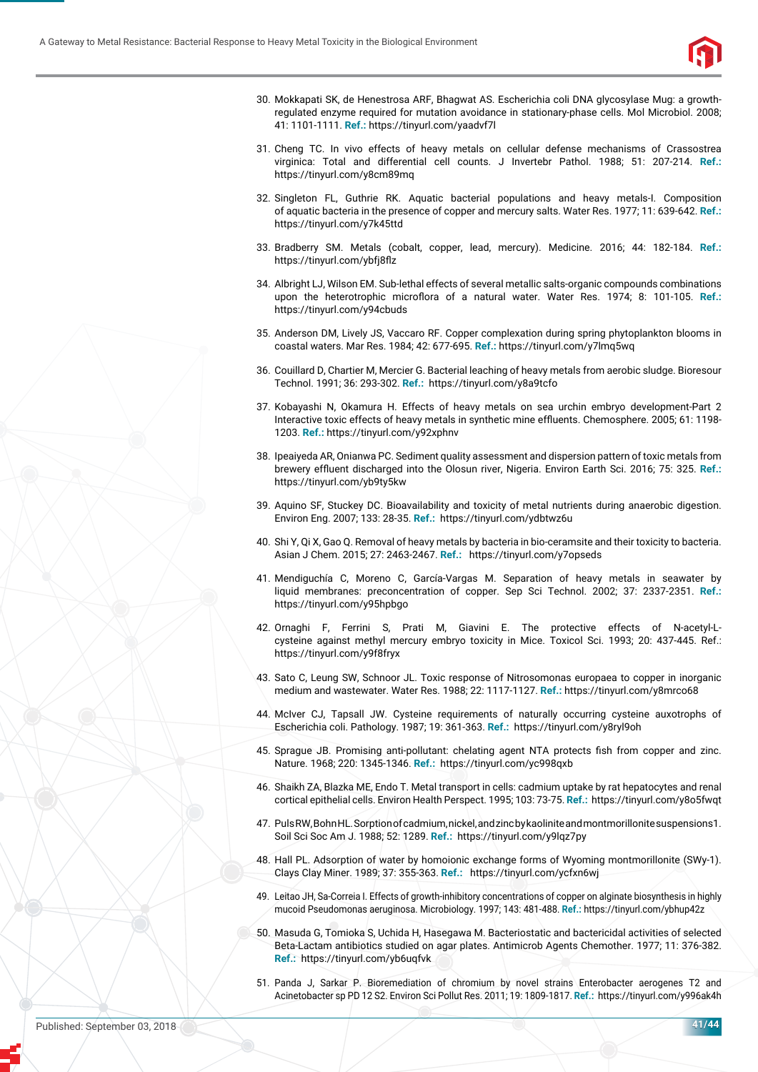

- 30. Mokkapati SK, de Henestrosa ARF, Bhagwat AS. Escherichia coli DNA glycosylase Mug: a growthregulated enzyme required for mutation avoidance in stationary-phase cells. Mol Microbiol. 2008; 41: 1101-1111. **Ref.:** https://tinyurl.com/yaadvf7l
- 31. Cheng TC. In vivo effects of heavy metals on cellular defense mechanisms of Crassostrea virginica: Total and differential cell counts. J Invertebr Pathol. 1988; 51: 207-214. **Ref.:** https://tinyurl.com/y8cm89mq
- 32. Singleton FL, Guthrie RK. Aquatic bacterial populations and heavy metals-I. Composition of aquatic bacteria in the presence of copper and mercury salts. Water Res. 1977; 11: 639-642. **Ref.:** https://tinyurl.com/y7k45ttd
- 33. Bradberry SM. Metals (cobalt, copper, lead, mercury). Medicine. 2016; 44: 182-184. **Ref.:** https://tinyurl.com/ybfj8flz
- 34. Albright LJ, Wilson EM. Sub-lethal effects of several metallic salts-organic compounds combinations upon the heterotrophic microflora of a natural water. Water Res. 1974; 8: 101-105. Ref.: https://tinyurl.com/y94cbuds
- 35. Anderson DM, Lively JS, Vaccaro RF. Copper complexation during spring phytoplankton blooms in coastal waters. Mar Res. 1984; 42: 677-695. **Ref.:** https://tinyurl.com/y7lmq5wq
- 36. Couillard D, Chartier M, Mercier G. Bacterial leaching of heavy metals from aerobic sludge. Bioresour Technol. 1991; 36: 293-302. **Ref.:** https://tinyurl.com/y8a9tcfo
- 37. Kobayashi N, Okamura H. Effects of heavy metals on sea urchin embryo development-Part 2 Interactive toxic effects of heavy metals in synthetic mine effluents. Chemosphere. 2005; 61: 1198-1203. **Ref.:** https://tinyurl.com/y92xphnv
- 38. Ipeaiyeda AR, Onianwa PC. Sediment quality assessment and dispersion pattern of toxic metals from brewery effluent discharged into the Olosun river, Nigeria. Environ Earth Sci. 2016; 75: 325. Ref.: https://tinyurl.com/yb9ty5kw
- 39. Aquino SF, Stuckey DC. Bioavailability and toxicity of metal nutrients during anaerobic digestion. Environ Eng. 2007; 133: 28-35. **Ref.:** https://tinyurl.com/ydbtwz6u
- 40. Shi Y, Qi X, Gao Q. Removal of heavy metals by bacteria in bio-ceramsite and their toxicity to bacteria. Asian J Chem. 2015; 27: 2463-2467. **Ref.:** https://tinyurl.com/y7opseds
- 41. Mendiguchía C, Moreno C, García-Vargas M. Separation of heavy metals in seawater by liquid membranes: preconcentration of copper. Sep Sci Technol. 2002; 37: 2337-2351. **Ref.:** https://tinyurl.com/y95hpbgo
- 42. Ornaghi F, Ferrini S, Prati M, Giavini E. The protective effects of N-acetyl-Lcysteine against methyl mercury embryo toxicity in Mice. Toxicol Sci. 1993; 20: 437-445. Ref.: https://tinyurl.com/y9f8fryx
- 43. Sato C, Leung SW, Schnoor JL. Toxic response of Nitrosomonas europaea to copper in inorganic medium and wastewater. Water Res. 1988; 22: 1117-1127. **Ref.:** https://tinyurl.com/y8mrco68
- 44. McIver CJ, Tapsall JW. Cysteine requirements of naturally occurring cysteine auxotrophs of Escherichia coli. Pathology. 1987; 19: 361-363. **Ref.:** https://tinyurl.com/y8ryl9oh
- 45. Sprague JB. Promising anti-pollutant: chelating agent NTA protects fish from copper and zinc. Nature. 1968; 220: 1345-1346. **Ref.:** https://tinyurl.com/yc998qxb
- 46. Shaikh ZA, Blazka ME, Endo T. Metal transport in cells: cadmium uptake by rat hepatocytes and renal cortical epithelial cells. Environ Health Perspect. 1995; 103: 73-75. **Ref.:** https://tinyurl.com/y8o5fwqt
- 47. Puls RW, Bohn HL. Sorption of cadmium, nickel, and zinc bykaoliniteandmontmorillonitesuspensions1. Soil Sci Soc Am J. 1988; 52: 1289. **Ref.:** https://tinyurl.com/y9lqz7py
- 48. Hall PL. Adsorption of water by homoionic exchange forms of Wyoming montmorillonite (SWy-1). Clays Clay Miner. 1989; 37: 355-363. **Ref.:** https://tinyurl.com/ycfxn6wj
- 49. Leitao JH, Sa-Correia I. Effects of growth-inhibitory concentrations of copper on alginate biosynthesis in highly mucoid Pseudomonas aeruginosa. Microbiology. 1997; 143: 481-488. **Ref.:** https://tinyurl.com/ybhup42z
- 50. Masuda G, Tomioka S, Uchida H, Hasegawa M. Bacteriostatic and bactericidal activities of selected Beta-Lactam antibiotics studied on agar plates. Antimicrob Agents Chemother. 1977; 11: 376-382. **Ref.:** https://tinyurl.com/yb6uqfvk
- 51. Panda J, Sarkar P. Bioremediation of chromium by novel strains Enterobacter aerogenes T2 and Acinetobacter sp PD 12 S2. Environ Sci Pollut Res. 2011; 19: 1809-1817. **Ref.:** https://tinyurl.com/y996ak4h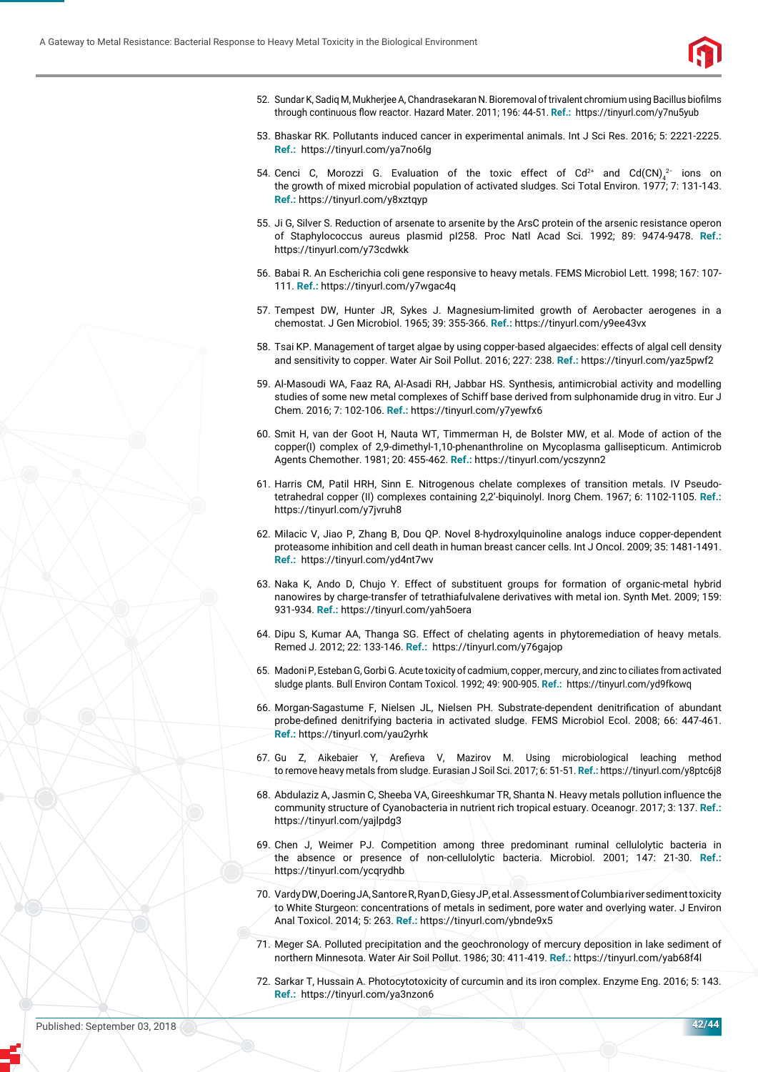

- 52. Sundar K, Sadiq M, Mukherjee A, Chandrasekaran N. Bioremoval of trivalent chromium using Bacillus biofilms through continuous flow reactor. Hazard Mater. 2011; 196: 44-51. Ref.: https://tinyurl.com/y7nu5yub
- 53. Bhaskar RK. Pollutants induced cancer in experimental animals. Int J Sci Res. 2016; 5: 2221-2225. **Ref.:** https://tinyurl.com/ya7no6lg
- 54. Cenci C, Morozzi G. Evaluation of the toxic effect of Cd<sup>2+</sup> and Cd(CN)<sub>4</sub><sup>2-</sup> ions on the growth of mixed microbial population of activated sludges. Sci Total Environ. 1977; 7: 131-143. **Ref.:** https://tinyurl.com/y8xztqyp
- 55. Ji G, Silver S. Reduction of arsenate to arsenite by the ArsC protein of the arsenic resistance operon of Staphylococcus aureus plasmid pI258. Proc Natl Acad Sci. 1992; 89: 9474-9478. **Ref.:** https://tinyurl.com/y73cdwkk
- 56. Babai R. An Escherichia coli gene responsive to heavy metals. FEMS Microbiol Lett. 1998; 167: 107- 111. **Ref.:** https://tinyurl.com/y7wgac4q
- 57. Tempest DW, Hunter JR, Sykes J. Magnesium-limited growth of Aerobacter aerogenes in a chemostat. J Gen Microbiol. 1965; 39: 355-366. **Ref.:** https://tinyurl.com/y9ee43vx
- 58. Tsai KP. Management of target algae by using copper-based algaecides: effects of algal cell density and sensitivity to copper. Water Air Soil Pollut. 2016; 227: 238. **Ref.:** https://tinyurl.com/yaz5pwf2
- 59. Al-Masoudi WA, Faaz RA, Al-Asadi RH, Jabbar HS. Synthesis, antimicrobial activity and modelling studies of some new metal complexes of Schiff base derived from sulphonamide drug in vitro. Eur J Chem. 2016; 7: 102-106. **Ref.:** https://tinyurl.com/y7yewfx6
- 60. Smit H, van der Goot H, Nauta WT, Timmerman H, de Bolster MW, et al. Mode of action of the copper(I) complex of 2,9-dimethyl-1,10-phenanthroline on Mycoplasma gallisepticum. Antimicrob Agents Chemother. 1981; 20: 455-462. **Ref.:** https://tinyurl.com/ycszynn2
- 61. Harris CM, Patil HRH, Sinn E. Nitrogenous chelate complexes of transition metals. IV Pseudotetrahedral copper (II) complexes containing 2,2'-biquinolyl. Inorg Chem. 1967; 6: 1102-1105. **Ref.:** https://tinyurl.com/y7jvruh8
- 62. Milacic V, Jiao P, Zhang B, Dou QP. Novel 8-hydroxylquinoline analogs induce copper-dependent proteasome inhibition and cell death in human breast cancer cells. Int J Oncol. 2009; 35: 1481-1491. **Ref.:** https://tinyurl.com/yd4nt7wv
- 63. Naka K, Ando D, Chujo Y. Effect of substituent groups for formation of organic-metal hybrid nanowires by charge-transfer of tetrathiafulvalene derivatives with metal ion. Synth Met. 2009; 159: 931-934. **Ref.:** https://tinyurl.com/yah5oera
- 64. Dipu S, Kumar AA, Thanga SG. Effect of chelating agents in phytoremediation of heavy metals. Remed J. 2012; 22: 133-146. **Ref.:** https://tinyurl.com/y76gajop
- 65. Madoni P, Esteban G, Gorbi G. Acute toxicity of cadmium, copper, mercury, and zinc to ciliates from activated sludge plants. Bull Environ Contam Toxicol. 1992; 49: 900-905. **Ref.:** https://tinyurl.com/yd9fkowq
- 66. Morgan-Sagastume F, Nielsen JL, Nielsen PH, Substrate-dependent denitrification of abundant probe-defined denitrifying bacteria in activated sludge. FEMS Microbiol Ecol. 2008; 66: 447-461. **Ref.:** https://tinyurl.com/yau2yrhk
- 67. Gu Z, Aikebaier Y, Arefieva V, Mazirov M. Using microbiological leaching method to remove heavy metals from sludge. Eurasian J Soil Sci. 2017; 6: 51-51. **Ref.:** https://tinyurl.com/y8ptc6j8
- 68. Abdulaziz A, Jasmin C, Sheeba VA, Gireeshkumar TR, Shanta N. Heavy metals pollution influence the community structure of Cyanobacteria in nutrient rich tropical estuary. Oceanogr. 2017; 3: 137. **Ref.:** https://tinyurl.com/yajlpdg3
- 69. Chen J, Weimer PJ. Competition among three predominant ruminal cellulolytic bacteria in the absence or presence of non-cellulolytic bacteria. Microbiol. 2001; 147: 21-30. **Ref.:** https://tinyurl.com/ycqrydhb
- 70. Vardy DW, Doering JA, Santore R, Ryan D, Giesy JP, et al. Assessment of Columbiariversedimenttoxicity to White Sturgeon: concentrations of metals in sediment, pore water and overlying water. J Environ Anal Toxicol. 2014; 5: 263. **Ref.:** https://tinyurl.com/ybnde9x5
- 71. Meger SA. Polluted precipitation and the geochronology of mercury deposition in lake sediment of northern Minnesota. Water Air Soil Pollut. 1986; 30: 411-419. **Ref.:** https://tinyurl.com/yab68f4l
- 72. Sarkar T, Hussain A. Photocytotoxicity of curcumin and its iron complex. Enzyme Eng. 2016; 5: 143. **Ref.:** https://tinyurl.com/ya3nzon6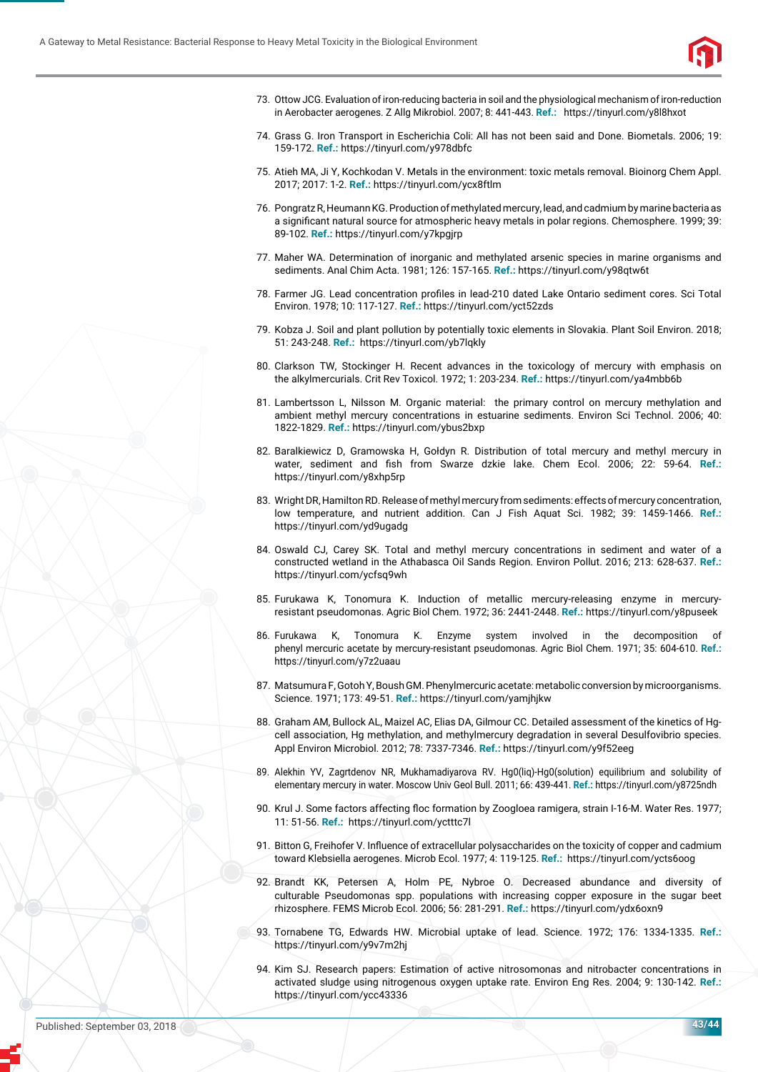

- 73. Ottow JCG. Evaluation of iron-reducing bacteria in soil and the physiological mechanism ofiron-reduction in Aerobacter aerogenes. Z Allg Mikrobiol. 2007; 8: 441-443. **Ref.:** https://tinyurl.com/y8l8hxot
- 74. Grass G. Iron Transport in Escherichia Coli: All has not been said and Done. Biometals. 2006; 19: 159-172. **Ref.:** https://tinyurl.com/y978dbfc
- 75. Atieh MA, Ji Y, Kochkodan V. Metals in the environment: toxic metals removal. Bioinorg Chem Appl. 2017; 2017: 1-2. **Ref.:** https://tinyurl.com/ycx8ftlm
- 76. Pongratz R, Heumann KG. Production ofmethylatedmercury, lead, and cadmium by marinebacteriaas a significant natural source for atmospheric heavy metals in polar regions. Chemosphere. 1999; 39: 89-102. **Ref.:** https://tinyurl.com/y7kpgjrp
- 77. Maher WA. Determination of inorganic and methylated arsenic species in marine organisms and sediments. Anal Chim Acta. 1981; 126: 157-165. **Ref.:** https://tinyurl.com/y98qtw6t
- 78. Farmer JG. Lead concentration profiles in lead-210 dated Lake Ontario sediment cores. Sci Total Environ. 1978; 10: 117-127. **Ref.:** https://tinyurl.com/yct52zds
- 79. Kobza J. Soil and plant pollution by potentially toxic elements in Slovakia. Plant Soil Environ. 2018; 51: 243-248. **Ref.:** https://tinyurl.com/yb7lqkly
- 80. Clarkson TW, Stockinger H. Recent advances in the toxicology of mercury with emphasis on the alkylmercurials. Crit Rev Toxicol. 1972; 1: 203-234. **Ref.:** https://tinyurl.com/ya4mbb6b
- 81. Lambertsson L, Nilsson M. Organic material: the primary control on mercury methylation and ambient methyl mercury concentrations in estuarine sediments. Environ Sci Technol. 2006; 40: 1822-1829. **Ref.:** https://tinyurl.com/ybus2bxp
- 82. Baralkiewicz D, Gramowska H, Gołdyn R. Distribution of total mercury and methyl mercury in water, sediment and fish from Swarze dzkie lake. Chem Ecol. 2006; 22: 59-64. Ref.: https://tinyurl.com/y8xhp5rp
- 83. Wright DR, Hamilton RD. Release of methyl mercury from sediments: effects of mercury concentration, low temperature, and nutrient addition. Can J Fish Aquat Sci. 1982; 39: 1459-1466. **Ref.:** https://tinyurl.com/yd9ugadg
- 84. Oswald CJ, Carey SK. Total and methyl mercury concentrations in sediment and water of a constructed wetland in the Athabasca Oil Sands Region. Environ Pollut. 2016; 213: 628-637. **Ref.:** https://tinyurl.com/ycfsq9wh
- 85. Furukawa K, Tonomura K. Induction of metallic mercury-releasing enzyme in mercuryresistant pseudomonas. Agric Biol Chem. 1972; 36: 2441-2448. **Ref.:** https://tinyurl.com/y8puseek
- 86. Furukawa K, Tonomura K. Enzyme system involved in the decomposition phenyl mercuric acetate by mercury-resistant pseudomonas. Agric Biol Chem. 1971; 35: 604-610. **Ref.:** https://tinyurl.com/y7z2uaau
- 87. Matsumura F, Gotoh Y, Boush GM. Phenylmercuric acetate: metabolic conversion by microorganisms. Science. 1971; 173: 49-51. **Ref.:** https://tinyurl.com/yamjhjkw
- 88. Graham AM, Bullock AL, Maizel AC, Elias DA, Gilmour CC. Detailed assessment of the kinetics of Hgcell association, Hg methylation, and methylmercury degradation in several Desulfovibrio species. Appl Environ Microbiol. 2012; 78: 7337-7346. **Ref.:** https://tinyurl.com/y9f52eeg
- 89. Alekhin YV, Zagrtdenov NR, Mukhamadiyarova RV. Hg0(liq)-Hg0(solution) equilibrium and solubility of elementary mercury in water. Moscow Univ Geol Bull. 2011; 66: 439-441. **Ref.:** https://tinyurl.com/y8725ndh
- 90. Krul J. Some factors affecting floc formation by Zoogloea ramigera, strain I-16-M. Water Res. 1977; 11: 51-56. **Ref.:** https://tinyurl.com/yctttc7l
- 91. Bitton G, Freihofer V. Influence of extracellular polysaccharides on the toxicity of copper and cadmium toward Klebsiella aerogenes. Microb Ecol. 1977; 4: 119-125. **Ref.:** https://tinyurl.com/ycts6oog
- 92. Brandt KK, Petersen A, Holm PE, Nybroe O. Decreased abundance and diversity of culturable Pseudomonas spp. populations with increasing copper exposure in the sugar beet rhizosphere. FEMS Microb Ecol. 2006; 56: 281-291. **Ref.:** https://tinyurl.com/ydx6oxn9
- 93. Tornabene TG, Edwards HW. Microbial uptake of lead. Science. 1972; 176: 1334-1335. **Ref.:** https://tinyurl.com/y9v7m2hj
- 94. Kim SJ. Research papers: Estimation of active nitrosomonas and nitrobacter concentrations in activated sludge using nitrogenous oxygen uptake rate. Environ Eng Res. 2004; 9: 130-142. **Ref.:** https://tinyurl.com/ycc43336